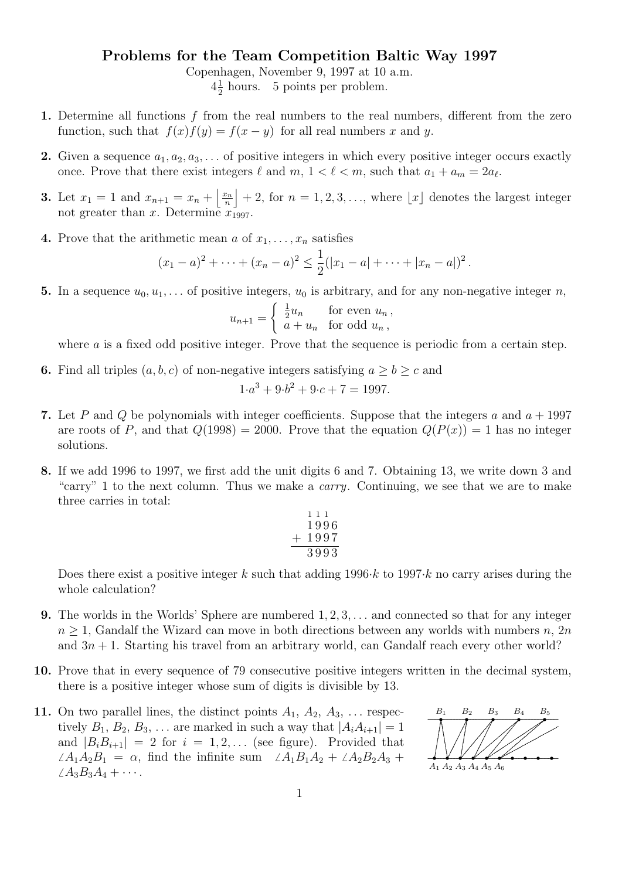## Problems for the Team Competition Baltic Way 1997

Copenhagen, November 9, 1997 at 10 a.m.

 $4\frac{1}{2}$  $\frac{1}{2}$  hours. 5 points per problem.

- 1. Determine all functions f from the real numbers to the real numbers, different from the zero function, such that  $f(x)f(y) = f(x - y)$  for all real numbers x and y.
- 2. Given a sequence  $a_1, a_2, a_3, \ldots$  of positive integers in which every positive integer occurs exactly once. Prove that there exist integers  $\ell$  and  $m, 1 < \ell < m$ , such that  $a_1 + a_m = 2a_{\ell}$ .
- **3.** Let  $x_1 = 1$  and  $x_{n+1} = x_n + \frac{x_n}{n}$  $\left\lfloor \frac{n}{n} \right\rfloor + 2$ , for  $n = 1, 2, 3, \ldots$ , where  $\lfloor x \rfloor$  denotes the largest integer not greater than x. Determine  $x_{1997}$ .
- 4. Prove that the arithmetic mean a of  $x_1, \ldots, x_n$  satisfies

$$
(x_1-a)^2+\cdots+(x_n-a)^2\leq \frac{1}{2}(|x_1-a|+\cdots+|x_n-a|)^2.
$$

5. In a sequence  $u_0, u_1, \ldots$  of positive integers,  $u_0$  is arbitrary, and for any non-negative integer n,

$$
u_{n+1} = \begin{cases} \frac{1}{2}u_n & \text{for even } u_n, \\ a + u_n & \text{for odd } u_n, \end{cases}
$$

where  $\alpha$  is a fixed odd positive integer. Prove that the sequence is periodic from a certain step.

6. Find all triples  $(a, b, c)$  of non-negative integers satisfying  $a \ge b \ge c$  and

$$
1 \cdot a^3 + 9 \cdot b^2 + 9 \cdot c + 7 = 1997.
$$

- 7. Let P and Q be polynomials with integer coefficients. Suppose that the integers a and  $a + 1997$ are roots of P, and that  $Q(1998) = 2000$ . Prove that the equation  $Q(P(x)) = 1$  has no integer solutions.
- 8. If we add 1996 to 1997, we first add the unit digits 6 and 7. Obtaining 13, we write down 3 and "carry" 1 to the next column. Thus we make a carry. Continuing, we see that we are to make three carries in total:

$$
111\n1996\n+1997\n3993
$$

Does there exist a positive integer k such that adding  $1996 \cdot k$  to  $1997 \cdot k$  no carry arises during the whole calculation?

- **9.** The worlds in the Worlds' Sphere are numbered  $1, 2, 3, \ldots$  and connected so that for any integer  $n \geq 1$ , Gandalf the Wizard can move in both directions between any worlds with numbers n, 2n and  $3n + 1$ . Starting his travel from an arbitrary world, can Gandalf reach every other world?
- 10. Prove that in every sequence of 79 consecutive positive integers written in the decimal system, there is a positive integer whose sum of digits is divisible by 13.
- 11. On two parallel lines, the distinct points  $A_1, A_2, A_3, \ldots$  respectively  $B_1, B_2, B_3, \ldots$  are marked in such a way that  $|A_iA_{i+1}| = 1$ and  $|B_iB_{i+1}| = 2$  for  $i = 1, 2, \ldots$  (see figure). Provided that  $\angle A_1A_2B_1 = \alpha$ , find the infinite sum  $\angle A_1B_1A_2 + \angle A_2B_2A_3 + \angle A_3B_1A_2$  $\angle A_3B_3A_4 + \cdots$